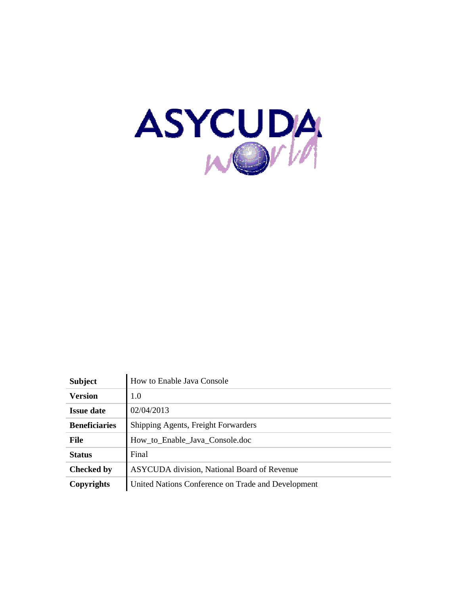

| <b>Subject</b>       | How to Enable Java Console                         |
|----------------------|----------------------------------------------------|
| <b>Version</b>       | 1.0                                                |
| <b>Issue date</b>    | 02/04/2013                                         |
| <b>Beneficiaries</b> | Shipping Agents, Freight Forwarders                |
| <b>File</b>          | How to Enable Java Console.doc                     |
| <b>Status</b>        | Final                                              |
| <b>Checked by</b>    | <b>ASYCUDA</b> division, National Board of Revenue |
| Copyrights           | United Nations Conference on Trade and Development |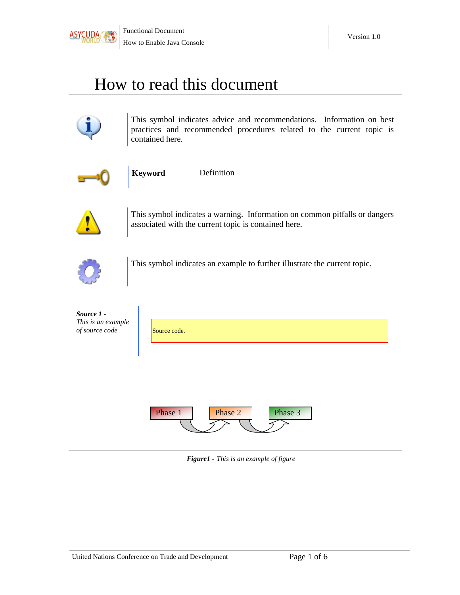

## How to read this document



This symbol indicates advice and recommendations. Information on best practices and recommended procedures related to the current topic is contained here.



**Keyword** Definition

This symbol indicates a warning. Information on common pitfalls or dangers associated with the current topic is contained here.



This symbol indicates an example to further illustrate the current topic.

| Source 1 -<br>This is an example<br>of source code | Source code.                  |
|----------------------------------------------------|-------------------------------|
|                                                    |                               |
|                                                    | Phase 3<br>Phase 1<br>Phase 2 |

*Figure1 - This is an example of figure*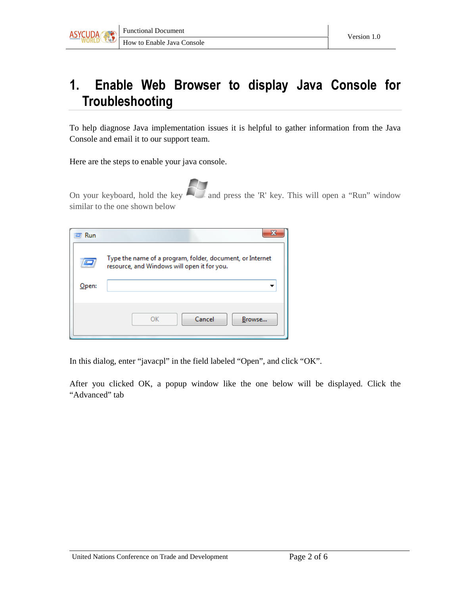

## 1. Enable Web Browser to display Java Console for **Troubleshooting**

To help diagnose Java implementation issues it is helpful to gather information from the Java Console and email it to our support team.

Here are the steps to enable your java console.

On your keyboard, hold the key and press the 'R' key. This will open a "Run" window similar to the one shown below

| Run   |                                                                                                          |
|-------|----------------------------------------------------------------------------------------------------------|
|       | Type the name of a program, folder, document, or Internet<br>resource, and Windows will open it for you. |
| Open: |                                                                                                          |
|       |                                                                                                          |
|       | Cancel<br>OK<br>Browse                                                                                   |

In this dialog, enter "javacpl" in the field labeled "Open", and click "OK".

After you clicked OK, a popup window like the one below will be displayed. Click the "Advanced" tab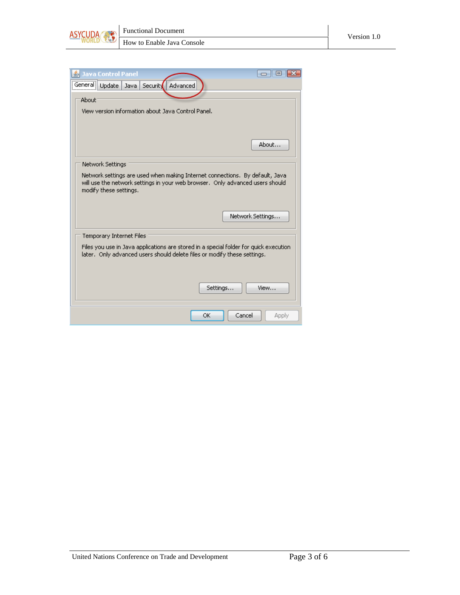



| <b>Java Control Panel</b><br>General Update<br>Advanced<br>Security<br>Java                                                                                                             |
|-----------------------------------------------------------------------------------------------------------------------------------------------------------------------------------------|
| About                                                                                                                                                                                   |
| View version information about Java Control Panel.                                                                                                                                      |
|                                                                                                                                                                                         |
| About                                                                                                                                                                                   |
| Network Settings                                                                                                                                                                        |
| Network settings are used when making Internet connections. By default, Java.<br>will use the network settings in your web browser.Only advanced users should<br>modify these settings. |
| Network Settings                                                                                                                                                                        |
| Temporary Internet Files                                                                                                                                                                |
| Files you use in Java applications are stored in a special folder for quick execution<br>later. Only advanced users should delete files or modify these settings.                       |
| Settings<br>View                                                                                                                                                                        |
| Cancel<br>OK.<br><b>Apply</b>                                                                                                                                                           |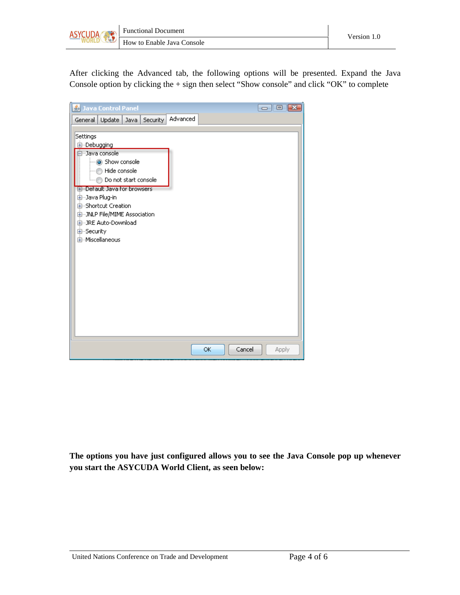

After clicking the Advanced tab, the following options will be presented. Expand the Java Console option by clicking the + sign then select "Show console" and click "OK" to complete

**The options you have just configured allows you to see the Java Console pop up whenever you start the ASYCUDA World Client, as seen below:**